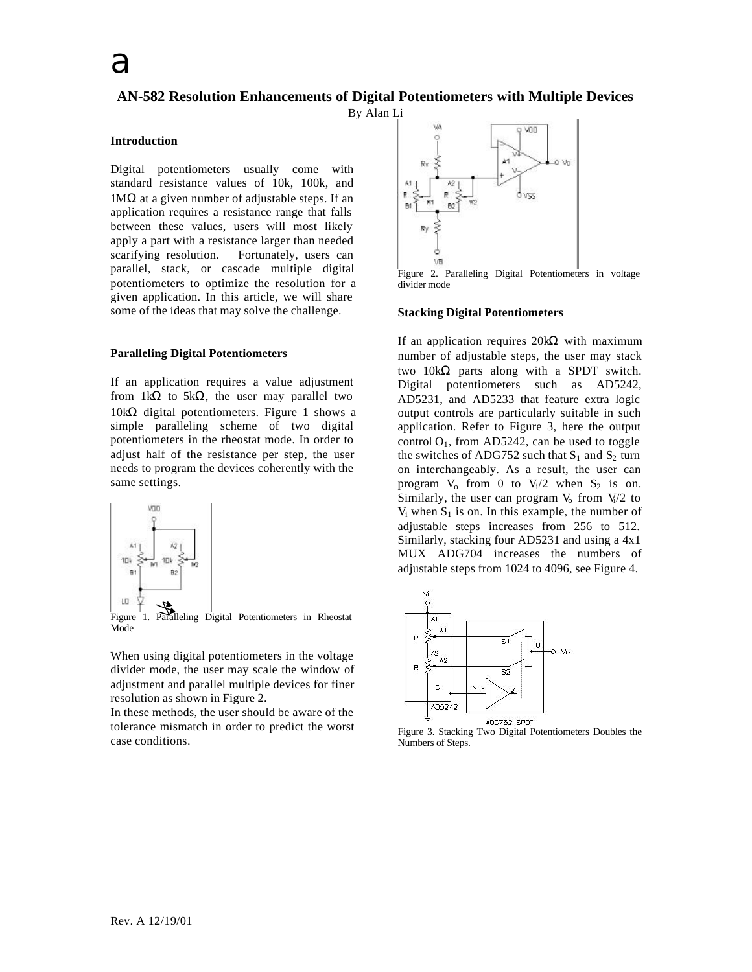# **AN-582 Resolution Enhancements of Digital Potentiometers with Multiple Devices**

By Alan Li

## **Introduction**

Digital potentiometers usually come with standard resistance values of 10k, 100k, and  $1MΩ$  at a given number of adjustable steps. If an application requires a resistance range that falls between these values, users will most likely apply a part with a resistance larger than needed scarifying resolution. Fortunately, users can parallel, stack, or cascade multiple digital potentiometers to optimize the resolution for a given application. In this article, we will share some of the ideas that may solve the challenge.

### **Paralleling Digital Potentiometers**

If an application requires a value adjustment from  $1k\Omega$  to  $5k\Omega$ , the user may parallel two 10kΩ digital potentiometers. Figure 1 shows a simple paralleling scheme of two digital potentiometers in the rheostat mode. In order to adjust half of the resistance per step, the user needs to program the devices coherently with the same settings.



Figure 1. Paralleling Digital Potentiometers in Rheostat Mode

When using digital potentiometers in the voltage divider mode, the user may scale the window of adjustment and parallel multiple devices for finer resolution as shown in Figure 2.

In these methods, the user should be aware of the tolerance mismatch in order to predict the worst case conditions.



Figure 2. Paralleling Digital Potentiometers in voltage divider mode

#### **Stacking Digital Potentiometers**

If an application requires 20kΩ with maximum number of adjustable steps, the user may stack two 10kΩ parts along with a SPDT switch. Digital potentiometers such as AD5242, AD5231, and AD5233 that feature extra logic output controls are particularly suitable in such application. Refer to Figure 3, here the output control  $O<sub>1</sub>$ , from AD5242, can be used to toggle the switches of ADG752 such that  $S_1$  and  $S_2$  turn on interchangeably. As a result, the user can program  $V_0$  from 0 to  $V_1/2$  when  $S_2$  is on. Similarly, the user can program  $V_0$  from  $V_1/2$  to  $V_i$  when  $S_1$  is on. In this example, the number of adjustable steps increases from 256 to 512. Similarly, stacking four AD5231 and using a 4x1 MUX ADG704 increases the numbers of adjustable steps from 1024 to 4096, see Figure 4.



Figure 3. Stacking Two Digital Potentiometers Doubles the Numbers of Steps.